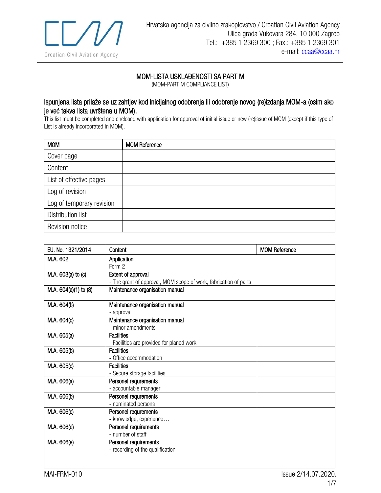

## MOM-LISTA USKLAĐENOSTI SA PART M

(MOM-PART M COMPLIANCE LIST)

## Ispunjena lista prilaže se uz zahtjev kod inicijalnog odobrenja ili odobrenje novog (re)izdanja MOM-a (osim ako je već takva lista uvrštena u MOM).

This list must be completed and enclosed with application for approval of initial issue or new (re)issue of MOM (except if this type of List is already incorporated in MOM).

| <b>MOM</b>                | <b>MOM Reference</b> |
|---------------------------|----------------------|
| Cover page                |                      |
| Content                   |                      |
| List of effective pages   |                      |
| Log of revision           |                      |
| Log of temporary revision |                      |
| Distribution list         |                      |
| Revision notice           |                      |

| EU, No. 1321/2014                                                                                                    | Content                                                                                                                                                                                                                                                                                                                                           | <b>MOM Reference</b> |
|----------------------------------------------------------------------------------------------------------------------|---------------------------------------------------------------------------------------------------------------------------------------------------------------------------------------------------------------------------------------------------------------------------------------------------------------------------------------------------|----------------------|
| M.A. 602                                                                                                             | Application                                                                                                                                                                                                                                                                                                                                       |                      |
|                                                                                                                      | Form 2                                                                                                                                                                                                                                                                                                                                            |                      |
| M.A. 603(a) to (c)                                                                                                   | Extent of approval                                                                                                                                                                                                                                                                                                                                |                      |
|                                                                                                                      | - The grant of approval, MOM scope of work, fabrication of parts                                                                                                                                                                                                                                                                                  |                      |
| M.A. 604(a)(1) to (8)                                                                                                | Maintenance organisation manual                                                                                                                                                                                                                                                                                                                   |                      |
|                                                                                                                      |                                                                                                                                                                                                                                                                                                                                                   |                      |
|                                                                                                                      | - approval                                                                                                                                                                                                                                                                                                                                        |                      |
| M.A. 604(c)                                                                                                          | Maintenance organisation manual                                                                                                                                                                                                                                                                                                                   |                      |
|                                                                                                                      | - minor amendments                                                                                                                                                                                                                                                                                                                                |                      |
| M.A. 605(a)                                                                                                          | <b>Facilities</b>                                                                                                                                                                                                                                                                                                                                 |                      |
|                                                                                                                      | - Facilities are provided for planed work                                                                                                                                                                                                                                                                                                         |                      |
|                                                                                                                      | <b>Facilities</b>                                                                                                                                                                                                                                                                                                                                 |                      |
|                                                                                                                      | - Office accommodation                                                                                                                                                                                                                                                                                                                            |                      |
|                                                                                                                      |                                                                                                                                                                                                                                                                                                                                                   |                      |
|                                                                                                                      |                                                                                                                                                                                                                                                                                                                                                   |                      |
|                                                                                                                      |                                                                                                                                                                                                                                                                                                                                                   |                      |
|                                                                                                                      |                                                                                                                                                                                                                                                                                                                                                   |                      |
|                                                                                                                      |                                                                                                                                                                                                                                                                                                                                                   |                      |
|                                                                                                                      |                                                                                                                                                                                                                                                                                                                                                   |                      |
|                                                                                                                      |                                                                                                                                                                                                                                                                                                                                                   |                      |
|                                                                                                                      |                                                                                                                                                                                                                                                                                                                                                   |                      |
|                                                                                                                      |                                                                                                                                                                                                                                                                                                                                                   |                      |
|                                                                                                                      |                                                                                                                                                                                                                                                                                                                                                   |                      |
|                                                                                                                      |                                                                                                                                                                                                                                                                                                                                                   |                      |
|                                                                                                                      |                                                                                                                                                                                                                                                                                                                                                   |                      |
|                                                                                                                      |                                                                                                                                                                                                                                                                                                                                                   |                      |
| M.A. 604(b)<br>M.A. 605(b)<br>M.A. 605(c)<br>M.A. 606(a)<br>M.A. 606(b)<br>M.A. 606(c)<br>M.A. 606(d)<br>M.A. 606(e) | Maintenance organisation manual<br><b>Facilities</b><br>- Secure storage facilities<br>Personel requrements<br>- accountable manager<br>Personel requrements<br>- nominated persons<br>Personel requrements<br>- knowledge, experience<br>Personel requirements<br>- number of staff<br>Personel requirements<br>- recording of the qualification |                      |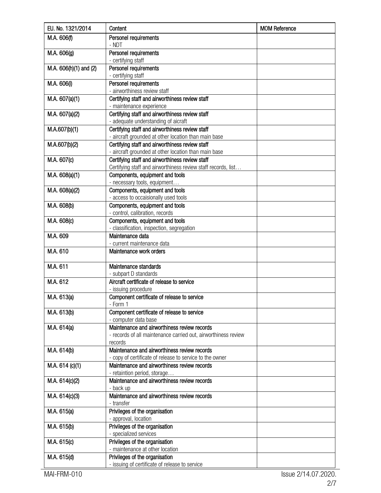| EU. No. 1321/2014      | Content                                                                                                                   | <b>MOM Reference</b> |
|------------------------|---------------------------------------------------------------------------------------------------------------------------|----------------------|
| M.A. 606(f)            | Personel requirements<br>- NDT                                                                                            |                      |
| M.A. 606(g)            | Personel requirements<br>- certifying staff                                                                               |                      |
| M.A. 606(h)(1) and (2) | Personel requirements<br>- certifying staff                                                                               |                      |
| M.A. 606(i)            | Personel requirements<br>- airworthiness review staff                                                                     |                      |
| M.A. 607(a)(1)         | Certifying staff and airworthiness review staff<br>- maintenance experience                                               |                      |
| M.A. 607(a)(2)         | Certifying staff and airworthiness review staff<br>- adequate understanding of aicraft                                    |                      |
| M.A.607(b)(1)          | Certifying staff and airworthiness review staff<br>- aircraft grounded at other location than main base                   |                      |
| M.A.607(b)(2)          | Certifying staff and airworthiness review staff<br>- aircraft grounded at other location than main base                   |                      |
| M.A. 607(c)            | Certifying staff and airworthiness review staff<br>Certifying staff and airworthiness review staff records, list          |                      |
| M.A. 608(a)(1)         | Components, equipment and tools<br>- necessary tools, equipment                                                           |                      |
| M.A. 608(a)(2)         | Components, equipment and tools<br>- access to occaisionally used tools                                                   |                      |
| M.A. 608(b)            | Components, equipment and tools<br>- control, calibration, records                                                        |                      |
| M.A. 608(c)            | Components, equipment and tools<br>- classification, inspection, segregation                                              |                      |
| M.A. 609               | Maintenance data<br>- current maintenance data                                                                            |                      |
| M.A. 610               | Maintenance work orders                                                                                                   |                      |
| M.A. 611               | Maintenance standards<br>- subpart D standards                                                                            |                      |
| M.A. 612               | Aircraft certificate of release to service<br>- issuing procedure                                                         |                      |
| M.A. 613(a)            | Component certificate of release to service<br>- Form 1                                                                   |                      |
| M.A. 613(b)            | Component certificate of release to service<br>- computer data base                                                       |                      |
| M.A. 614(a)            | Maintenance and airworthiness review records<br>- records of all maintenance carried out, airworthiness review<br>records |                      |
| M.A. 614(b)            | Maintenance and airworthiness review records<br>- copy of certificate of release to service to the owner                  |                      |
| M.A. 614 (c)(1)        | Maintenance and airworthiness review records<br>- retaintion period, storage                                              |                      |
| M.A. 614(c)(2)         | Maintenance and airworthiness review records<br>- back up                                                                 |                      |
| M.A. 614(c)(3)         | Maintenance and airworthiness review records<br>- transfer                                                                |                      |
| M.A. 615(a)            | Privileges of the organisation<br>- approval, location                                                                    |                      |
| M.A. 615(b)            | Privileges of the organisation<br>- specialized services                                                                  |                      |
| M.A. 615(c)            | Privileges of the organisation<br>- maintenance at other location                                                         |                      |
| M.A. 615(d)            | Privileges of the organisation<br>- issuing of certificate of release to service                                          |                      |

MAI-FRM-010 Issue 2/14.07.2020. 2/7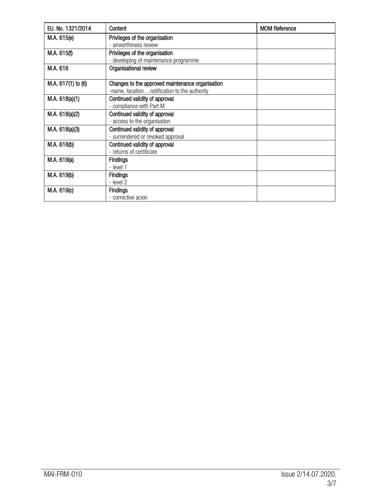| EU. No. 1321/2014  | Content                                          | <b>MOM Reference</b> |
|--------------------|--------------------------------------------------|----------------------|
| M.A. 615(e)        | Privileges of the organisation                   |                      |
|                    | - airworthiness review                           |                      |
| M.A. 615(f)        | Privileges of the organisation                   |                      |
|                    | - developing of maintenance programme            |                      |
| M.A. 616           | Organisational review                            |                      |
| M.A. 617(1) to (6) | Changes to the approved maintenance organisation |                      |
|                    | -name, locationnotification to the authority     |                      |
| M.A. 618(a)(1)     | Continued validity of approval                   |                      |
|                    | - compliance with Part M                         |                      |
| M.A. 618(a)(2)     | Continued validity of approval                   |                      |
|                    | - access to the organisation                     |                      |
| M.A. 618(a)(3)     | Continued validity of approval                   |                      |
|                    | - surrendered or revoked approval                |                      |
| M.A. 618(b)        | Continued validity of approval                   |                      |
|                    | - returns of certificate                         |                      |
| M.A. 619(a)        | Findings                                         |                      |
|                    | - level 1                                        |                      |
| M.A. 619(b)        | <b>Findings</b>                                  |                      |
|                    | - level 2                                        |                      |
| M.A. 619(c)        | <b>Findings</b>                                  |                      |
|                    | - corrective acion                               |                      |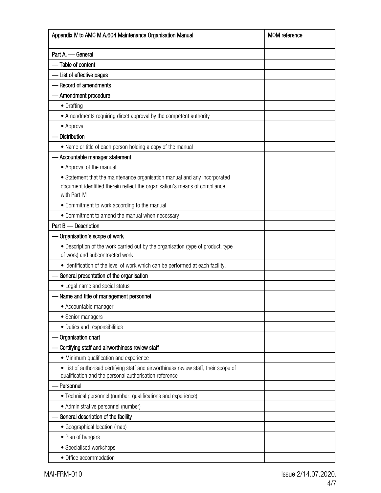| Appendix IV to AMC M.A.604 Maintenance Organisation Manual                                                                                     | <b>MOM</b> reference |
|------------------------------------------------------------------------------------------------------------------------------------------------|----------------------|
| Part A. - General                                                                                                                              |                      |
| - Table of content                                                                                                                             |                      |
| - List of effective pages                                                                                                                      |                      |
| - Record of amendments                                                                                                                         |                      |
| - Amendment procedure                                                                                                                          |                      |
| • Drafting                                                                                                                                     |                      |
| • Amendments requiring direct approval by the competent authority                                                                              |                      |
| • Approval                                                                                                                                     |                      |
| - Distribution                                                                                                                                 |                      |
| • Name or title of each person holding a copy of the manual                                                                                    |                      |
| Accountable manager statement                                                                                                                  |                      |
| • Approval of the manual                                                                                                                       |                      |
| • Statement that the maintenance organisation manual and any incorporated                                                                      |                      |
| document identified therein reflect the organisation's means of compliance                                                                     |                      |
| with Part-M                                                                                                                                    |                      |
| • Commitment to work according to the manual                                                                                                   |                      |
| • Commitment to amend the manual when necessary                                                                                                |                      |
| Part B - Description                                                                                                                           |                      |
| Organisation's scope of work                                                                                                                   |                      |
| • Description of the work carried out by the organisation (type of product, type<br>of work) and subcontracted work                            |                      |
| · Identification of the level of work which can be performed at each facility.                                                                 |                      |
| - General presentation of the organisation                                                                                                     |                      |
| • Legal name and social status                                                                                                                 |                      |
| Name and title of management personnel                                                                                                         |                      |
| • Accountable manager                                                                                                                          |                      |
| • Senior managers                                                                                                                              |                      |
| • Duties and responsibilities                                                                                                                  |                      |
| Organisation chart                                                                                                                             |                      |
| Certifying staff and airworthiness review staff                                                                                                |                      |
| • Minimum qualification and experience                                                                                                         |                      |
| • List of authorised certifying staff and airworthiness review staff, their scope of<br>qualification and the personal authorisation reference |                      |
| Personnel                                                                                                                                      |                      |
| • Technical personnel (number, qualifications and experience)                                                                                  |                      |
| • Administrative personnel (number)                                                                                                            |                      |
| - General description of the facility                                                                                                          |                      |
| • Geographical location (map)                                                                                                                  |                      |
| • Plan of hangars                                                                                                                              |                      |
| • Specialised workshops                                                                                                                        |                      |
| • Office accommodation                                                                                                                         |                      |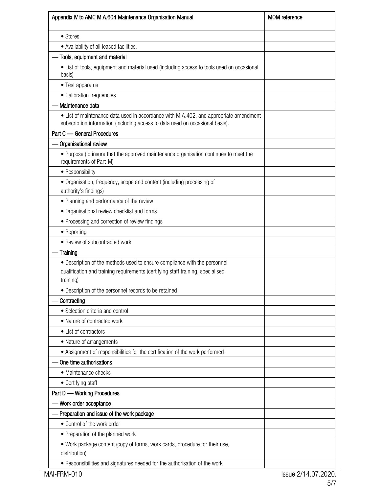| Appendix IV to AMC M.A.604 Maintenance Organisation Manual                                                                                                                | <b>MOM</b> reference |
|---------------------------------------------------------------------------------------------------------------------------------------------------------------------------|----------------------|
| • Stores                                                                                                                                                                  |                      |
| • Availability of all leased facilities.                                                                                                                                  |                      |
| Tools, equipment and material                                                                                                                                             |                      |
| • List of tools, equipment and material used (including access to tools used on occasional<br>basis)                                                                      |                      |
| • Test apparatus                                                                                                                                                          |                      |
| • Calibration frequencies                                                                                                                                                 |                      |
| Maintenance data                                                                                                                                                          |                      |
| • List of maintenance data used in accordance with M.A.402, and appropriate amendment<br>subscription information (including access to data used on occasional basis).    |                      |
| Part C - General Procedures                                                                                                                                               |                      |
| - Organisational review                                                                                                                                                   |                      |
| • Purpose (to insure that the approved maintenance organisation continues to meet the<br>requirements of Part-M)                                                          |                      |
| • Responsibility                                                                                                                                                          |                      |
| • Organisation, frequency, scope and content (including processing of<br>authority's findings)                                                                            |                      |
| • Planning and performance of the review                                                                                                                                  |                      |
| • Organisational review checklist and forms                                                                                                                               |                      |
| • Processing and correction of review findings                                                                                                                            |                      |
| • Reporting                                                                                                                                                               |                      |
| • Review of subcontracted work                                                                                                                                            |                      |
| - Training                                                                                                                                                                |                      |
| • Description of the methods used to ensure compliance with the personnel<br>qualification and training requirements (certifying staff training, specialised<br>training) |                      |
| · Description of the personnel records to be retained                                                                                                                     |                      |
| Contracting                                                                                                                                                               |                      |
| • Selection criteria and control                                                                                                                                          |                      |
| • Nature of contracted work                                                                                                                                               |                      |
| • List of contractors                                                                                                                                                     |                      |
| • Nature of arrangements                                                                                                                                                  |                      |
| • Assignment of responsibilities for the certification of the work performed                                                                                              |                      |
| One time authorisations                                                                                                                                                   |                      |
| • Maintenance checks                                                                                                                                                      |                      |
| • Certifying staff                                                                                                                                                        |                      |
| Part D - Working Procedures                                                                                                                                               |                      |
| - Work order acceptance                                                                                                                                                   |                      |
| - Preparation and issue of the work package                                                                                                                               |                      |
| • Control of the work order                                                                                                                                               |                      |
| • Preparation of the planned work                                                                                                                                         |                      |
| . Work package content (copy of forms, work cards, procedure for their use,<br>distribution)                                                                              |                      |
| • Responsibilities and signatures needed for the authorisation of the work                                                                                                |                      |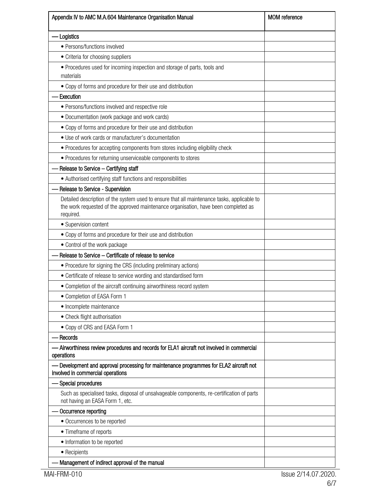| Appendix IV to AMC M.A.604 Maintenance Organisation Manual                                                                                                                                      | <b>MOM</b> reference |
|-------------------------------------------------------------------------------------------------------------------------------------------------------------------------------------------------|----------------------|
| - Logistics                                                                                                                                                                                     |                      |
| • Persons/functions involved                                                                                                                                                                    |                      |
| • Criteria for choosing suppliers                                                                                                                                                               |                      |
| • Procedures used for incoming inspection and storage of parts, tools and                                                                                                                       |                      |
| materials                                                                                                                                                                                       |                      |
| • Copy of forms and procedure for their use and distribution                                                                                                                                    |                      |
| Execution                                                                                                                                                                                       |                      |
| • Persons/functions involved and respective role                                                                                                                                                |                      |
| • Documentation (work package and work cards)                                                                                                                                                   |                      |
| • Copy of forms and procedure for their use and distribution                                                                                                                                    |                      |
| • Use of work cards or manufacturer's documentation                                                                                                                                             |                      |
| • Procedures for accepting components from stores including eligibility check                                                                                                                   |                      |
| • Procedures for returning unserviceable components to stores                                                                                                                                   |                      |
| Release to Service - Certifying staff                                                                                                                                                           |                      |
| • Authorised certifying staff functions and responsibilities                                                                                                                                    |                      |
| Release to Service - Supervision                                                                                                                                                                |                      |
| Detailed description of the system used to ensure that all maintenance tasks, applicable to<br>the work requested of the approved maintenance organisation, have been completed as<br>required. |                      |
| • Supervision content                                                                                                                                                                           |                      |
| • Copy of forms and procedure for their use and distribution                                                                                                                                    |                      |
| • Control of the work package                                                                                                                                                                   |                      |
| Release to Service - Certificate of release to service                                                                                                                                          |                      |
| • Procedure for signing the CRS (including preliminary actions)                                                                                                                                 |                      |
| • Certificate of release to service wording and standardised form                                                                                                                               |                      |
| • Completion of the aircraft continuing airworthiness record system                                                                                                                             |                      |
| • Completion of EASA Form 1                                                                                                                                                                     |                      |
| • Incomplete maintenance                                                                                                                                                                        |                      |
| • Check flight authorisation                                                                                                                                                                    |                      |
| • Copy of CRS and EASA Form 1                                                                                                                                                                   |                      |
| Records                                                                                                                                                                                         |                      |
| Airworthiness review procedures and records for ELA1 aircraft not involved in commercial<br>operations                                                                                          |                      |
| - Development and approval processing for maintenance programmes for ELA2 aircraft not<br>involved in commercial operations                                                                     |                      |
| Special procedures                                                                                                                                                                              |                      |
| Such as specialised tasks, disposal of unsalvageable components, re-certification of parts<br>not having an EASA Form 1, etc.                                                                   |                      |
| Occurrence reporting                                                                                                                                                                            |                      |
| • Occurrences to be reported                                                                                                                                                                    |                      |
| • Timeframe of reports                                                                                                                                                                          |                      |
| • Information to be reported                                                                                                                                                                    |                      |
| • Recipients                                                                                                                                                                                    |                      |
| Management of indirect approval of the manual                                                                                                                                                   |                      |